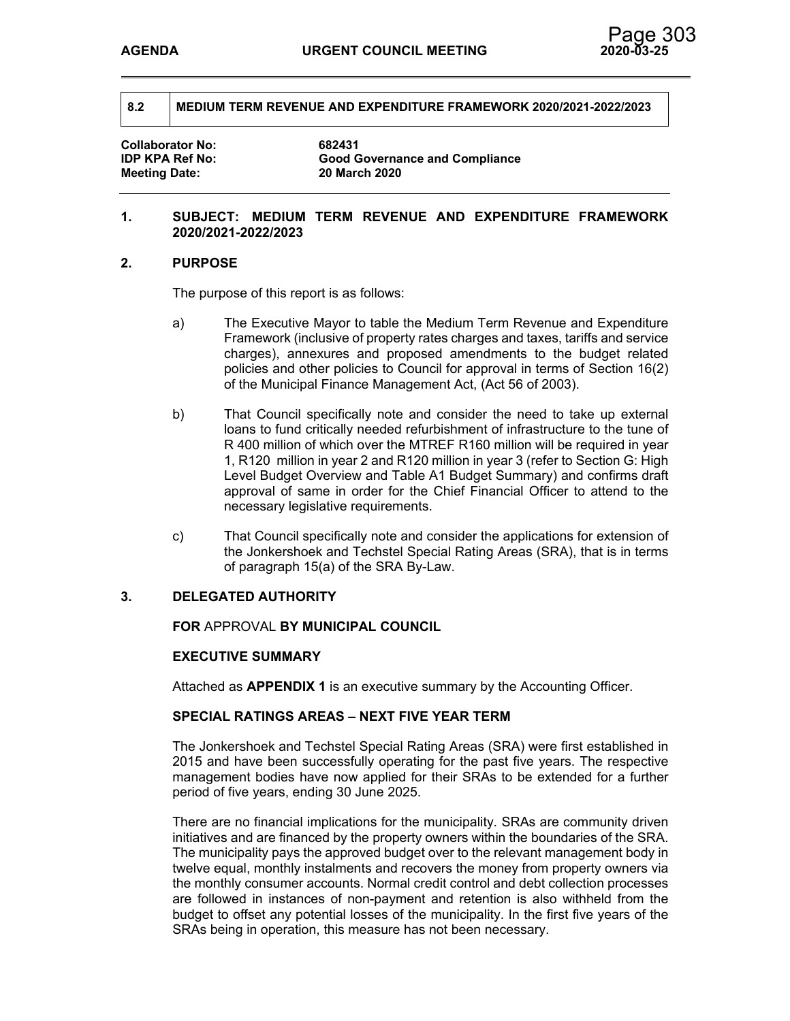**Collaborator No: 682431 Meeting Date: 20 March 2020**

**IDP KPA Ref No: Good Governance and Compliance** 

### **1. SUBJECT: MEDIUM TERM REVENUE AND EXPENDITURE FRAMEWORK 2020/2021-2022/2023**

### **2. PURPOSE**

The purpose of this report is as follows:

- a) The Executive Mayor to table the Medium Term Revenue and Expenditure Framework (inclusive of property rates charges and taxes, tariffs and service charges), annexures and proposed amendments to the budget related policies and other policies to Council for approval in terms of Section 16(2) of the Municipal Finance Management Act, (Act 56 of 2003).
- b) That Council specifically note and consider the need to take up external loans to fund critically needed refurbishment of infrastructure to the tune of R 400 million of which over the MTREF R160 million will be required in year 1, R120 million in year 2 and R120 million in year 3 (refer to Section G: High Level Budget Overview and Table A1 Budget Summary) and confirms draft approval of same in order for the Chief Financial Officer to attend to the necessary legislative requirements.
- c) That Council specifically note and consider the applications for extension of the Jonkershoek and Techstel Special Rating Areas (SRA), that is in terms of paragraph 15(a) of the SRA By-Law.

## **3. DELEGATED AUTHORITY**

**FOR** APPROVAL **BY MUNICIPAL COUNCIL**

### **EXECUTIVE SUMMARY**

Attached as **APPENDIX 1** is an executive summary by the Accounting Officer.

### **SPECIAL RATINGS AREAS – NEXT FIVE YEAR TERM**

The Jonkershoek and Techstel Special Rating Areas (SRA) were first established in 2015 and have been successfully operating for the past five years. The respective management bodies have now applied for their SRAs to be extended for a further period of five years, ending 30 June 2025.

There are no financial implications for the municipality. SRAs are community driven initiatives and are financed by the property owners within the boundaries of the SRA. The municipality pays the approved budget over to the relevant management body in twelve equal, monthly instalments and recovers the money from property owners via the monthly consumer accounts. Normal credit control and debt collection processes are followed in instances of non-payment and retention is also withheld from the budget to offset any potential losses of the municipality. In the first five years of the SRAs being in operation, this measure has not been necessary.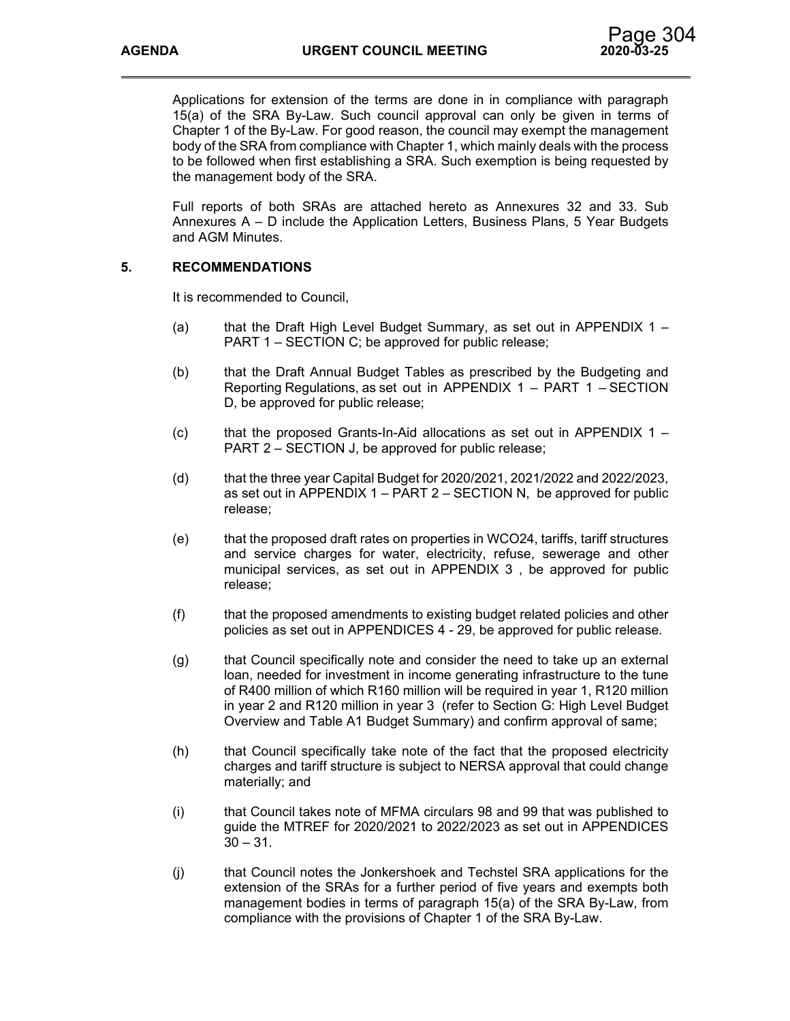Applications for extension of the terms are done in in compliance with paragraph 15(a) of the SRA By-Law. Such council approval can only be given in terms of Chapter 1 of the By-Law. For good reason, the council may exempt the management body of the SRA from compliance with Chapter 1, which mainly deals with the process to be followed when first establishing a SRA. Such exemption is being requested by the management body of the SRA.

Full reports of both SRAs are attached hereto as Annexures 32 and 33. Sub Annexures A – D include the Application Letters, Business Plans, 5 Year Budgets and AGM Minutes.

## **5. RECOMMENDATIONS**

It is recommended to Council,

- (a) that the Draft High Level Budget Summary, as set out in APPENDIX  $1 -$ PART 1 – SECTION C; be approved for public release;
- (b) that the Draft Annual Budget Tables as prescribed by the Budgeting and Reporting Regulations, as set out in APPENDIX 1 – PART 1 – SECTION D, be approved for public release;
- (c) that the proposed Grants-In-Aid allocations as set out in APPENDIX  $1 -$ PART 2 – SECTION J, be approved for public release;
- $(d)$  that the three year Capital Budget for 2020/2021, 2021/2022 and 2022/2023, as set out in APPENDIX  $1 - PART 2 - SECTION N$ , be approved for public release;
- (e) that the proposed draft rates on properties in WCO24, tariffs, tariff structures and service charges for water, electricity, refuse, sewerage and other municipal services, as set out in APPENDIX 3 , be approved for public release;
- (f) that the proposed amendments to existing budget related policies and other policies as set out in APPENDICES 4 - 29, be approved for public release.
- (g) that Council specifically note and consider the need to take up an external loan, needed for investment in income generating infrastructure to the tune of R400 million of which R160 million will be required in year 1, R120 million in year 2 and R120 million in year 3 (refer to Section G: High Level Budget Overview and Table A1 Budget Summary) and confirm approval of same;
- (h) that Council specifically take note of the fact that the proposed electricity charges and tariff structure is subject to NERSA approval that could change materially; and
- (i) that Council takes note of MFMA circulars 98 and 99 that was published to guide the MTREF for 2020/2021 to 2022/2023 as set out in APPENDICES  $30 - 31$ .
- (j) that Council notes the Jonkershoek and Techstel SRA applications for the extension of the SRAs for a further period of five years and exempts both management bodies in terms of paragraph 15(a) of the SRA By-Law, from compliance with the provisions of Chapter 1 of the SRA By-Law.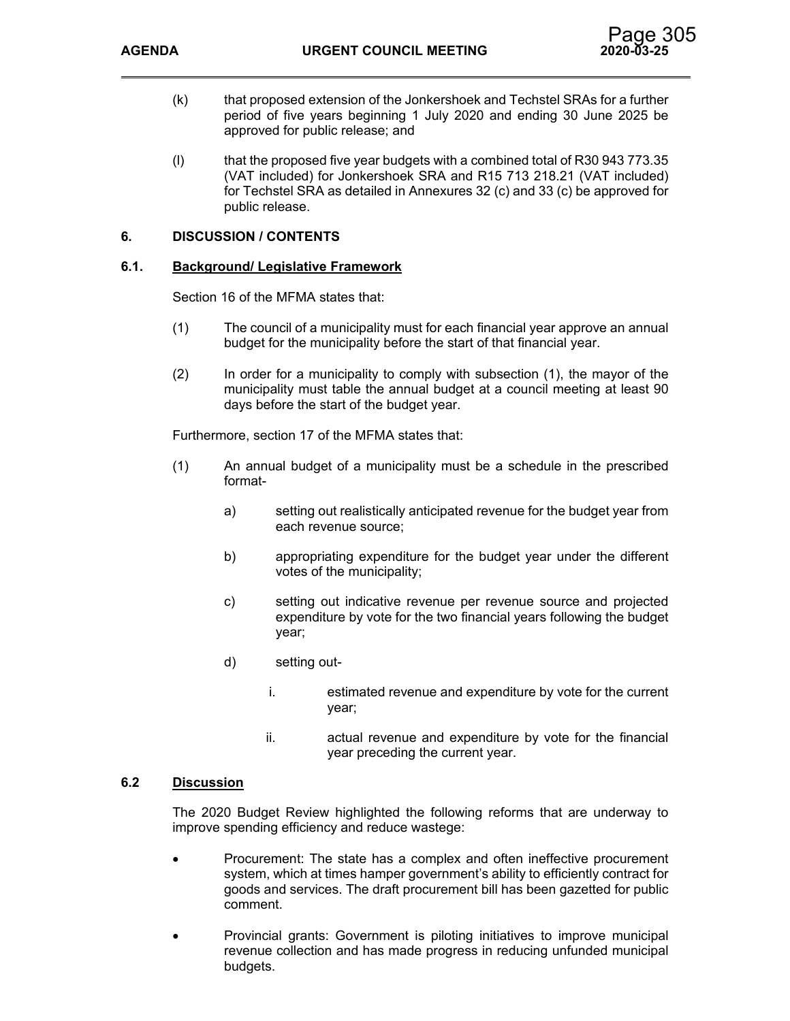

- (k) that proposed extension of the Jonkershoek and Techstel SRAs for a further period of five years beginning 1 July 2020 and ending 30 June 2025 be approved for public release; and
- (l) that the proposed five year budgets with a combined total of R30 943 773.35 (VAT included) for Jonkershoek SRA and R15 713 218.21 (VAT included) for Techstel SRA as detailed in Annexures 32 (c) and 33 (c) be approved for public release.

## **6. DISCUSSION / CONTENTS**

### **6.1. Background/ Legislative Framework**

Section 16 of the MFMA states that:

- (1) The council of a municipality must for each financial year approve an annual budget for the municipality before the start of that financial year.
- (2) In order for a municipality to comply with subsection (1), the mayor of the municipality must table the annual budget at a council meeting at least 90 days before the start of the budget year.

Furthermore, section 17 of the MFMA states that:

- (1) An annual budget of a municipality must be a schedule in the prescribed format
	- a) setting out realistically anticipated revenue for the budget year from each revenue source;
	- b) appropriating expenditure for the budget year under the different votes of the municipality;
	- c) setting out indicative revenue per revenue source and projected expenditure by vote for the two financial years following the budget year;
	- d) setting out
		- i. estimated revenue and expenditure by vote for the current year;
		- ii. actual revenue and expenditure by vote for the financial year preceding the current year.

## **6.2 Discussion**

The 2020 Budget Review highlighted the following reforms that are underway to improve spending efficiency and reduce wastege:

- Procurement: The state has a complex and often ineffective procurement system, which at times hamper government's ability to efficiently contract for goods and services. The draft procurement bill has been gazetted for public comment.
- Provincial grants: Government is piloting initiatives to improve municipal revenue collection and has made progress in reducing unfunded municipal budgets.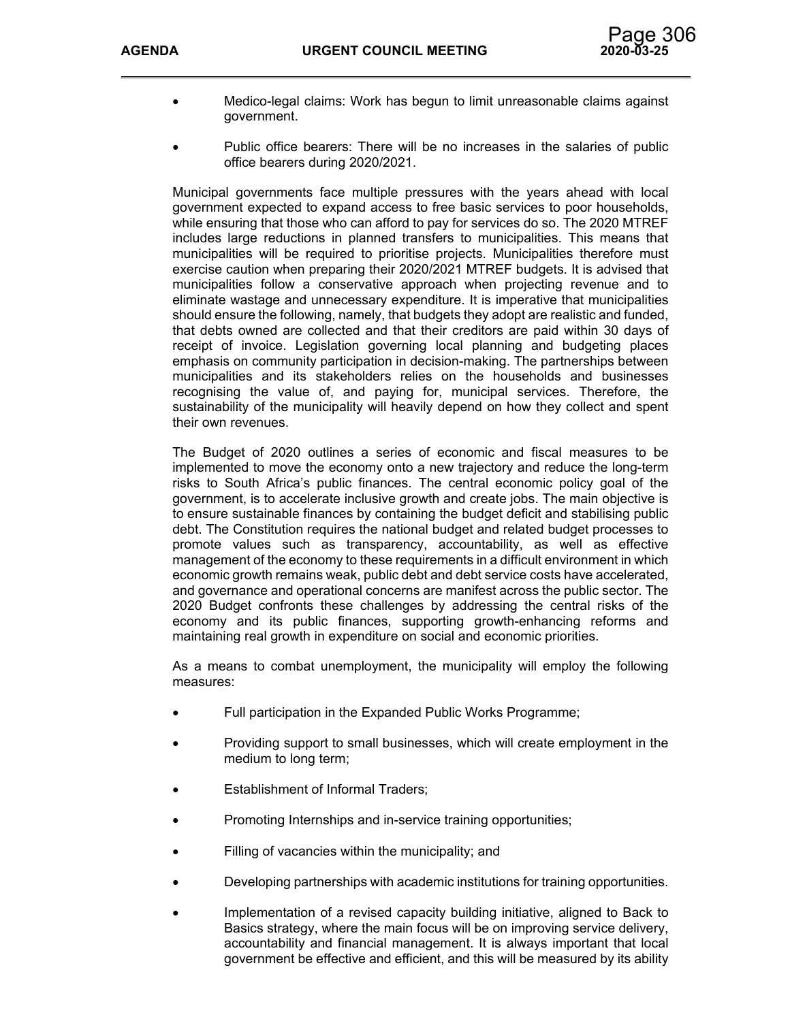

- Medico-legal claims: Work has begun to limit unreasonable claims against government.
	- Public office bearers: There will be no increases in the salaries of public office bearers during 2020/2021.

Municipal governments face multiple pressures with the years ahead with local government expected to expand access to free basic services to poor households, while ensuring that those who can afford to pay for services do so. The 2020 MTREF includes large reductions in planned transfers to municipalities. This means that municipalities will be required to prioritise projects. Municipalities therefore must exercise caution when preparing their 2020/2021 MTREF budgets. It is advised that municipalities follow a conservative approach when projecting revenue and to eliminate wastage and unnecessary expenditure. It is imperative that municipalities should ensure the following, namely, that budgets they adopt are realistic and funded, that debts owned are collected and that their creditors are paid within 30 days of receipt of invoice. Legislation governing local planning and budgeting places emphasis on community participation in decision-making. The partnerships between municipalities and its stakeholders relies on the households and businesses recognising the value of, and paying for, municipal services. Therefore, the sustainability of the municipality will heavily depend on how they collect and spent their own revenues.

The Budget of 2020 outlines a series of economic and fiscal measures to be implemented to move the economy onto a new trajectory and reduce the long-term risks to South Africa's public finances. The central economic policy goal of the government, is to accelerate inclusive growth and create jobs. The main objective is to ensure sustainable finances by containing the budget deficit and stabilising public debt. The Constitution requires the national budget and related budget processes to promote values such as transparency, accountability, as well as effective management of the economy to these requirements in a difficult environment in which economic growth remains weak, public debt and debt service costs have accelerated, and governance and operational concerns are manifest across the public sector. The 2020 Budget confronts these challenges by addressing the central risks of the economy and its public finances, supporting growth-enhancing reforms and maintaining real growth in expenditure on social and economic priorities.

As a means to combat unemployment, the municipality will employ the following measures:

- Full participation in the Expanded Public Works Programme;
- Providing support to small businesses, which will create employment in the medium to long term;
- Establishment of Informal Traders;
- Promoting Internships and in-service training opportunities;
- Filling of vacancies within the municipality; and
- Developing partnerships with academic institutions for training opportunities.
- Implementation of a revised capacity building initiative, aligned to Back to Basics strategy, where the main focus will be on improving service delivery, accountability and financial management. It is always important that local government be effective and efficient, and this will be measured by its ability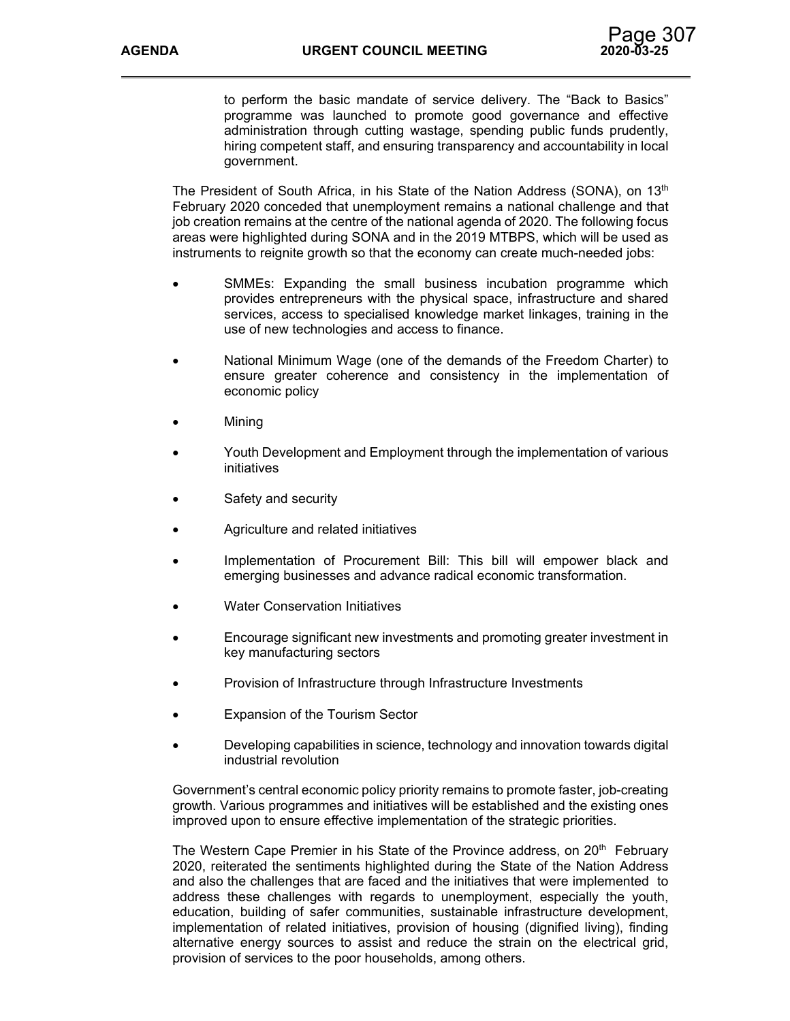to perform the basic mandate of service delivery. The "Back to Basics" programme was launched to promote good governance and effective administration through cutting wastage, spending public funds prudently, hiring competent staff, and ensuring transparency and accountability in local government.

The President of South Africa, in his State of the Nation Address (SONA), on 13<sup>th</sup> February 2020 conceded that unemployment remains a national challenge and that job creation remains at the centre of the national agenda of 2020. The following focus areas were highlighted during SONA and in the 2019 MTBPS, which will be used as instruments to reignite growth so that the economy can create much-needed jobs:

- SMMEs: Expanding the small business incubation programme which provides entrepreneurs with the physical space, infrastructure and shared services, access to specialised knowledge market linkages, training in the use of new technologies and access to finance.
- National Minimum Wage (one of the demands of the Freedom Charter) to ensure greater coherence and consistency in the implementation of economic policy
- Mining
- Youth Development and Employment through the implementation of various initiatives
- Safety and security
- Agriculture and related initiatives
- Implementation of Procurement Bill: This bill will empower black and emerging businesses and advance radical economic transformation.
- Water Conservation Initiatives
- Encourage significant new investments and promoting greater investment in key manufacturing sectors
- Provision of Infrastructure through Infrastructure Investments
- Expansion of the Tourism Sector
- Developing capabilities in science, technology and innovation towards digital industrial revolution

Government's central economic policy priority remains to promote faster, job-creating growth. Various programmes and initiatives will be established and the existing ones improved upon to ensure effective implementation of the strategic priorities.

The Western Cape Premier in his State of the Province address, on  $20<sup>th</sup>$  February 2020, reiterated the sentiments highlighted during the State of the Nation Address and also the challenges that are faced and the initiatives that were implemented to address these challenges with regards to unemployment, especially the youth, education, building of safer communities, sustainable infrastructure development, implementation of related initiatives, provision of housing (dignified living), finding alternative energy sources to assist and reduce the strain on the electrical grid, provision of services to the poor households, among others.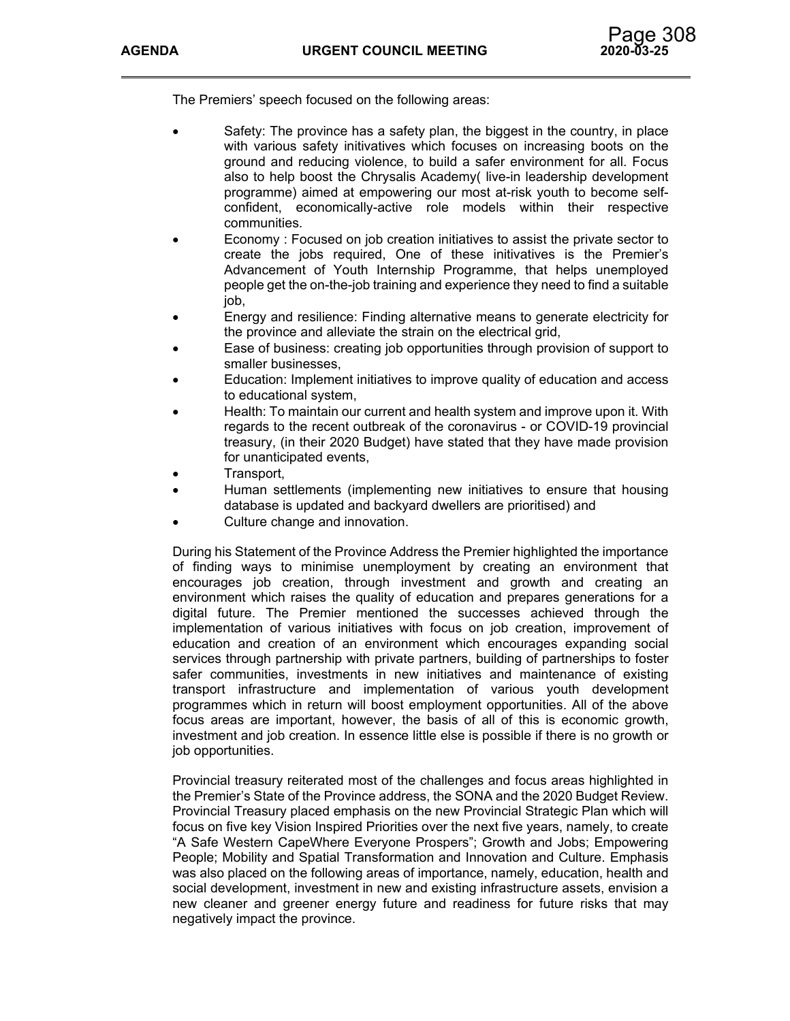The Premiers' speech focused on the following areas:

- Safety: The province has a safety plan, the biggest in the country, in place with various safety initivatives which focuses on increasing boots on the ground and reducing violence, to build a safer environment for all. Focus also to help boost the Chrysalis Academy( live-in leadership development programme) aimed at empowering our most at-risk youth to become selfconfident, economically-active role models within their respective communities.
- Economy : Focused on job creation initiatives to assist the private sector to create the jobs required, One of these initivatives is the Premier's Advancement of Youth Internship Programme, that helps unemployed people get the on-the-job training and experience they need to find a suitable job,
- Energy and resilience: Finding alternative means to generate electricity for the province and alleviate the strain on the electrical grid,
- Ease of business: creating job opportunities through provision of support to smaller businesses,
- Education: Implement initiatives to improve quality of education and access to educational system,
- Health: To maintain our current and health system and improve upon it. With regards to the recent outbreak of the coronavirus - or COVID-19 provincial treasury, (in their 2020 Budget) have stated that they have made provision for unanticipated events,
- Transport,
- Human settlements (implementing new initiatives to ensure that housing database is updated and backyard dwellers are prioritised) and
- Culture change and innovation.

During his Statement of the Province Address the Premier highlighted the importance of finding ways to minimise unemployment by creating an environment that encourages job creation, through investment and growth and creating an environment which raises the quality of education and prepares generations for a digital future. The Premier mentioned the successes achieved through the implementation of various initiatives with focus on job creation, improvement of education and creation of an environment which encourages expanding social services through partnership with private partners, building of partnerships to foster safer communities, investments in new initiatives and maintenance of existing transport infrastructure and implementation of various youth development programmes which in return will boost employment opportunities. All of the above focus areas are important, however, the basis of all of this is economic growth, investment and job creation. In essence little else is possible if there is no growth or job opportunities.

Provincial treasury reiterated most of the challenges and focus areas highlighted in the Premier's State of the Province address, the SONA and the 2020 Budget Review. Provincial Treasury placed emphasis on the new Provincial Strategic Plan which will focus on five key Vision Inspired Priorities over the next five years, namely, to create "A Safe Western CapeWhere Everyone Prospers"; Growth and Jobs; Empowering People; Mobility and Spatial Transformation and Innovation and Culture. Emphasis was also placed on the following areas of importance, namely, education, health and social development, investment in new and existing infrastructure assets, envision a new cleaner and greener energy future and readiness for future risks that may negatively impact the province.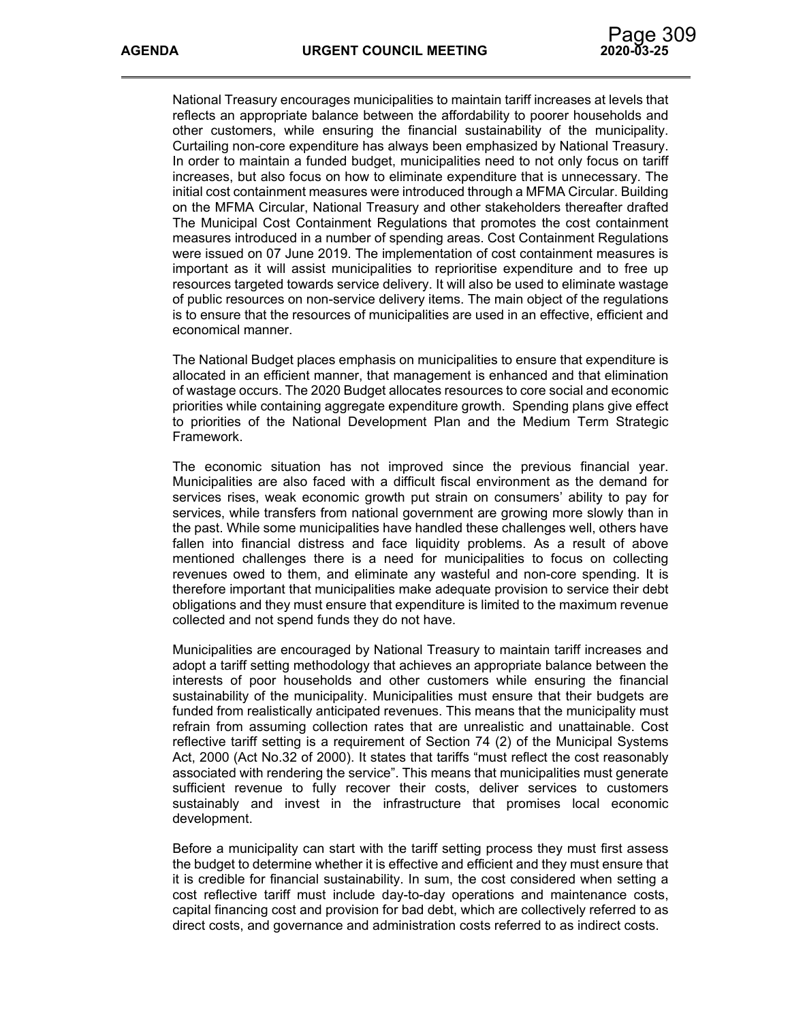National Treasury encourages municipalities to maintain tariff increases at levels that reflects an appropriate balance between the affordability to poorer households and other customers, while ensuring the financial sustainability of the municipality. Curtailing non-core expenditure has always been emphasized by National Treasury. In order to maintain a funded budget, municipalities need to not only focus on tariff increases, but also focus on how to eliminate expenditure that is unnecessary. The initial cost containment measures were introduced through a MFMA Circular. Building on the MFMA Circular, National Treasury and other stakeholders thereafter drafted The Municipal Cost Containment Regulations that promotes the cost containment measures introduced in a number of spending areas. Cost Containment Regulations were issued on 07 June 2019. The implementation of cost containment measures is important as it will assist municipalities to reprioritise expenditure and to free up resources targeted towards service delivery. It will also be used to eliminate wastage of public resources on non-service delivery items. The main object of the regulations is to ensure that the resources of municipalities are used in an effective, efficient and economical manner.

The National Budget places emphasis on municipalities to ensure that expenditure is allocated in an efficient manner, that management is enhanced and that elimination of wastage occurs. The 2020 Budget allocates resources to core social and economic priorities while containing aggregate expenditure growth. Spending plans give effect to priorities of the National Development Plan and the Medium Term Strategic Framework.

The economic situation has not improved since the previous financial year. Municipalities are also faced with a difficult fiscal environment as the demand for services rises, weak economic growth put strain on consumers' ability to pay for services, while transfers from national government are growing more slowly than in the past. While some municipalities have handled these challenges well, others have fallen into financial distress and face liquidity problems. As a result of above mentioned challenges there is a need for municipalities to focus on collecting revenues owed to them, and eliminate any wasteful and non-core spending. It is therefore important that municipalities make adequate provision to service their debt obligations and they must ensure that expenditure is limited to the maximum revenue collected and not spend funds they do not have.

Municipalities are encouraged by National Treasury to maintain tariff increases and adopt a tariff setting methodology that achieves an appropriate balance between the interests of poor households and other customers while ensuring the financial sustainability of the municipality. Municipalities must ensure that their budgets are funded from realistically anticipated revenues. This means that the municipality must refrain from assuming collection rates that are unrealistic and unattainable. Cost reflective tariff setting is a requirement of Section 74 (2) of the Municipal Systems Act, 2000 (Act No.32 of 2000). It states that tariffs "must reflect the cost reasonably associated with rendering the service". This means that municipalities must generate sufficient revenue to fully recover their costs, deliver services to customers sustainably and invest in the infrastructure that promises local economic development.

Before a municipality can start with the tariff setting process they must first assess the budget to determine whether it is effective and efficient and they must ensure that it is credible for financial sustainability. In sum, the cost considered when setting a cost reflective tariff must include day-to-day operations and maintenance costs, capital financing cost and provision for bad debt, which are collectively referred to as direct costs, and governance and administration costs referred to as indirect costs.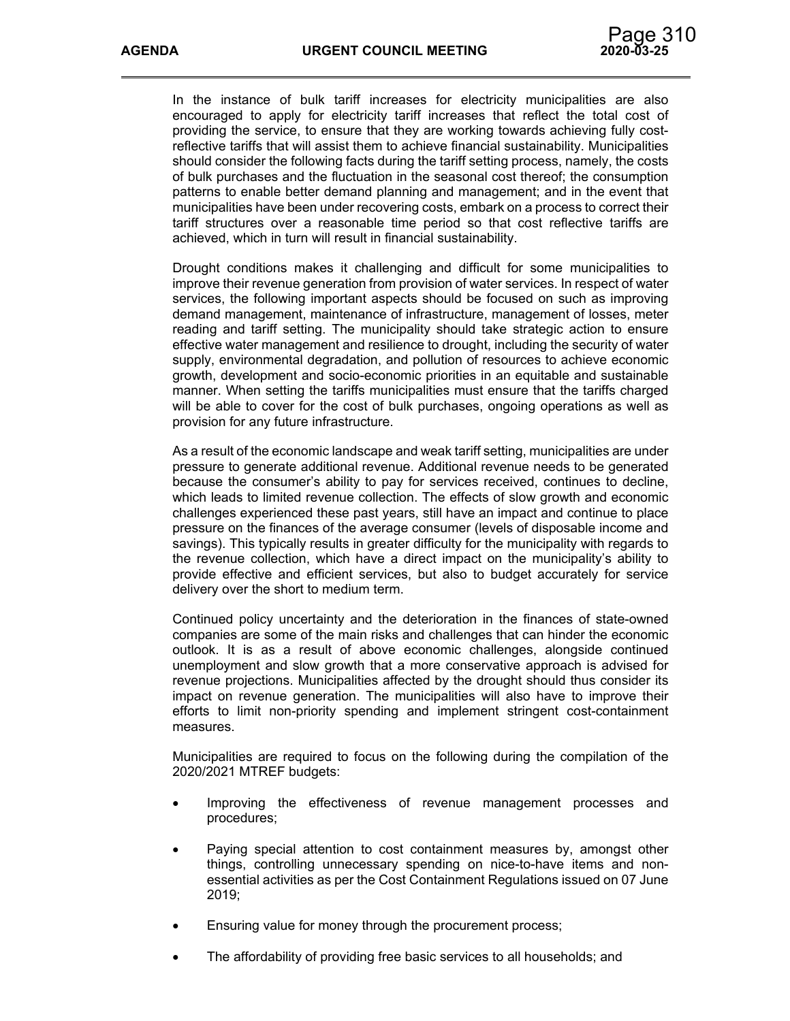In the instance of bulk tariff increases for electricity municipalities are also encouraged to apply for electricity tariff increases that reflect the total cost of providing the service, to ensure that they are working towards achieving fully costreflective tariffs that will assist them to achieve financial sustainability. Municipalities should consider the following facts during the tariff setting process, namely, the costs of bulk purchases and the fluctuation in the seasonal cost thereof; the consumption patterns to enable better demand planning and management; and in the event that municipalities have been under recovering costs, embark on a process to correct their tariff structures over a reasonable time period so that cost reflective tariffs are achieved, which in turn will result in financial sustainability.

Drought conditions makes it challenging and difficult for some municipalities to improve their revenue generation from provision of water services. In respect of water services, the following important aspects should be focused on such as improving demand management, maintenance of infrastructure, management of losses, meter reading and tariff setting. The municipality should take strategic action to ensure effective water management and resilience to drought, including the security of water supply, environmental degradation, and pollution of resources to achieve economic growth, development and socio-economic priorities in an equitable and sustainable manner. When setting the tariffs municipalities must ensure that the tariffs charged will be able to cover for the cost of bulk purchases, ongoing operations as well as provision for any future infrastructure.

As a result of the economic landscape and weak tariff setting, municipalities are under pressure to generate additional revenue. Additional revenue needs to be generated because the consumer's ability to pay for services received, continues to decline, which leads to limited revenue collection. The effects of slow growth and economic challenges experienced these past years, still have an impact and continue to place pressure on the finances of the average consumer (levels of disposable income and savings). This typically results in greater difficulty for the municipality with regards to the revenue collection, which have a direct impact on the municipality's ability to provide effective and efficient services, but also to budget accurately for service delivery over the short to medium term.

Continued policy uncertainty and the deterioration in the finances of state-owned companies are some of the main risks and challenges that can hinder the economic outlook. It is as a result of above economic challenges, alongside continued unemployment and slow growth that a more conservative approach is advised for revenue projections. Municipalities affected by the drought should thus consider its impact on revenue generation. The municipalities will also have to improve their efforts to limit non-priority spending and implement stringent cost-containment measures.

Municipalities are required to focus on the following during the compilation of the 2020/2021 MTREF budgets:

- Improving the effectiveness of revenue management processes and procedures;
- Paying special attention to cost containment measures by, amongst other things, controlling unnecessary spending on nice-to-have items and nonessential activities as per the Cost Containment Regulations issued on 07 June 2019;
- Ensuring value for money through the procurement process;
- The affordability of providing free basic services to all households; and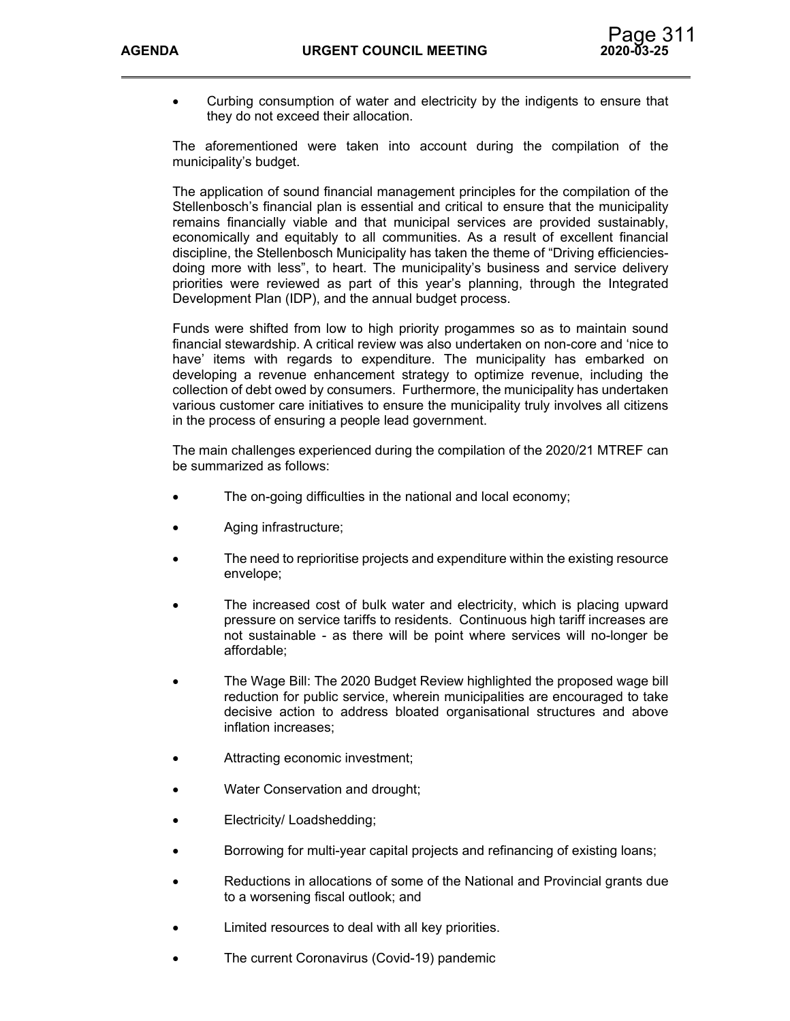

 Curbing consumption of water and electricity by the indigents to ensure that they do not exceed their allocation.

The aforementioned were taken into account during the compilation of the municipality's budget.

The application of sound financial management principles for the compilation of the Stellenbosch's financial plan is essential and critical to ensure that the municipality remains financially viable and that municipal services are provided sustainably, economically and equitably to all communities. As a result of excellent financial discipline, the Stellenbosch Municipality has taken the theme of "Driving efficienciesdoing more with less", to heart. The municipality's business and service delivery priorities were reviewed as part of this year's planning, through the Integrated Development Plan (IDP), and the annual budget process.

Funds were shifted from low to high priority progammes so as to maintain sound financial stewardship. A critical review was also undertaken on non-core and 'nice to have' items with regards to expenditure. The municipality has embarked on developing a revenue enhancement strategy to optimize revenue, including the collection of debt owed by consumers. Furthermore, the municipality has undertaken various customer care initiatives to ensure the municipality truly involves all citizens in the process of ensuring a people lead government.

The main challenges experienced during the compilation of the 2020/21 MTREF can be summarized as follows:

- The on-going difficulties in the national and local economy;
- Aging infrastructure;
- The need to reprioritise projects and expenditure within the existing resource envelope;
- The increased cost of bulk water and electricity, which is placing upward pressure on service tariffs to residents. Continuous high tariff increases are not sustainable - as there will be point where services will no-longer be affordable;
- The Wage Bill: The 2020 Budget Review highlighted the proposed wage bill reduction for public service, wherein municipalities are encouraged to take decisive action to address bloated organisational structures and above inflation increases;
- Attracting economic investment;
- Water Conservation and drought;
- Electricity/ Loadshedding;
- Borrowing for multi-year capital projects and refinancing of existing loans;
- Reductions in allocations of some of the National and Provincial grants due to a worsening fiscal outlook; and
- Limited resources to deal with all key priorities.
- The current Coronavirus (Covid-19) pandemic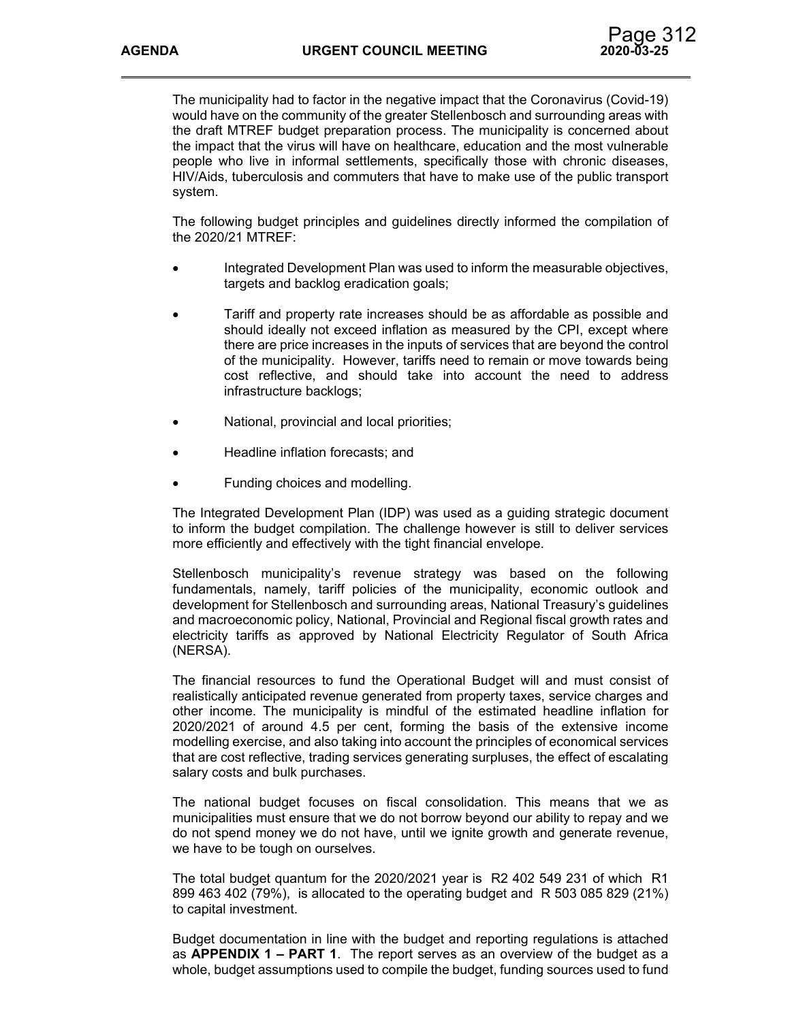The municipality had to factor in the negative impact that the Coronavirus (Covid-19) would have on the community of the greater Stellenbosch and surrounding areas with the draft MTREF budget preparation process. The municipality is concerned about the impact that the virus will have on healthcare, education and the most vulnerable people who live in informal settlements, specifically those with chronic diseases, HIV/Aids, tuberculosis and commuters that have to make use of the public transport system.

The following budget principles and guidelines directly informed the compilation of the 2020/21 MTREF:

- Integrated Development Plan was used to inform the measurable objectives, targets and backlog eradication goals;
- Tariff and property rate increases should be as affordable as possible and should ideally not exceed inflation as measured by the CPI, except where there are price increases in the inputs of services that are beyond the control of the municipality. However, tariffs need to remain or move towards being cost reflective, and should take into account the need to address infrastructure backlogs;
- National, provincial and local priorities;
- Headline inflation forecasts; and
- Funding choices and modelling.

The Integrated Development Plan (IDP) was used as a guiding strategic document to inform the budget compilation. The challenge however is still to deliver services more efficiently and effectively with the tight financial envelope.

Stellenbosch municipality's revenue strategy was based on the following fundamentals, namely, tariff policies of the municipality, economic outlook and development for Stellenbosch and surrounding areas, National Treasury's guidelines and macroeconomic policy, National, Provincial and Regional fiscal growth rates and electricity tariffs as approved by National Electricity Regulator of South Africa (NERSA).

The financial resources to fund the Operational Budget will and must consist of realistically anticipated revenue generated from property taxes, service charges and other income. The municipality is mindful of the estimated headline inflation for 2020/2021 of around 4.5 per cent, forming the basis of the extensive income modelling exercise, and also taking into account the principles of economical services that are cost reflective, trading services generating surpluses, the effect of escalating salary costs and bulk purchases.

The national budget focuses on fiscal consolidation. This means that we as municipalities must ensure that we do not borrow beyond our ability to repay and we do not spend money we do not have, until we ignite growth and generate revenue, we have to be tough on ourselves.

The total budget quantum for the 2020/2021 year is R2 402 549 231 of which R1 899 463 402 (79%), is allocated to the operating budget and R 503 085 829 (21%) to capital investment.

Budget documentation in line with the budget and reporting regulations is attached as **APPENDIX 1 – PART 1**. The report serves as an overview of the budget as a whole, budget assumptions used to compile the budget, funding sources used to fund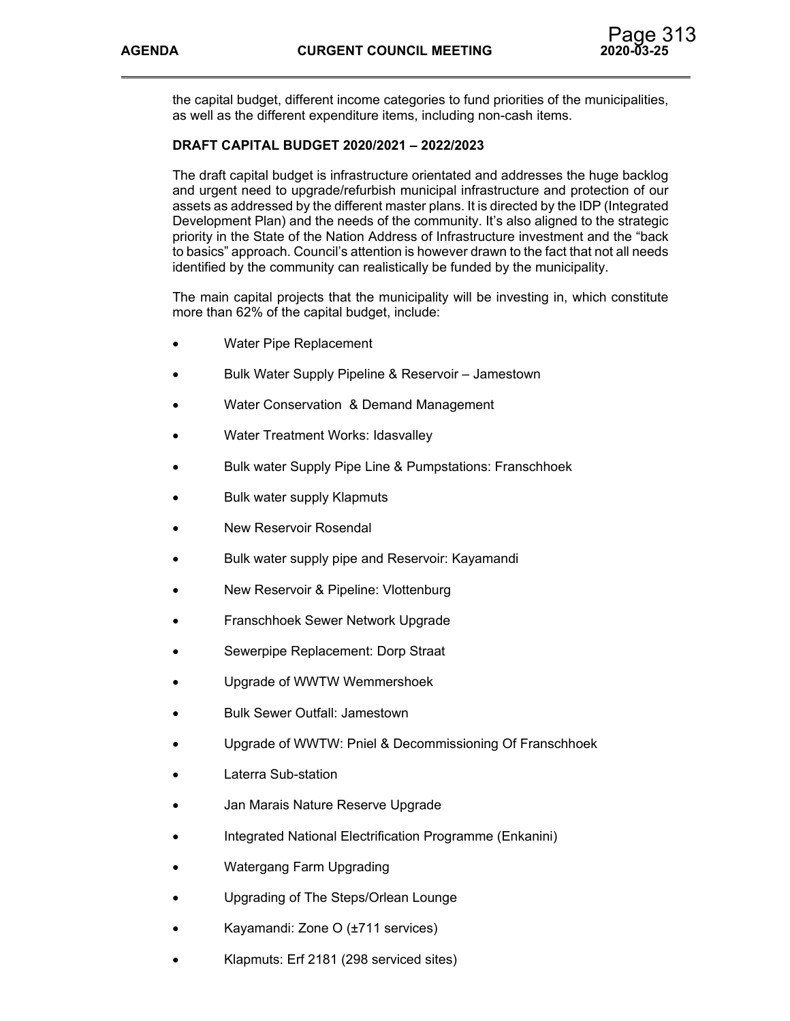the capital budget, different income categories to fund priorities of the municipalities, as well as the different expenditure items, including non-cash items.

# **DRAFT CAPITAL BUDGET 2020/2021 – 2022/2023**

The draft capital budget is infrastructure orientated and addresses the huge backlog and urgent need to upgrade/refurbish municipal infrastructure and protection of our assets as addressed by the different master plans. It is directed by the IDP (Integrated Development Plan) and the needs of the community. It's also aligned to the strategic priority in the State of the Nation Address of Infrastructure investment and the "back to basics" approach. Council's attention is however drawn to the fact that not all needs identified by the community can realistically be funded by the municipality.

The main capital projects that the municipality will be investing in, which constitute more than 62% of the capital budget, include:

- Water Pipe Replacement
- Bulk Water Supply Pipeline & Reservoir Jamestown
- Water Conservation & Demand Management
- Water Treatment Works: Idasvalley
- Bulk water Supply Pipe Line & Pumpstations: Franschhoek
- Bulk water supply Klapmuts
- New Reservoir Rosendal
- Bulk water supply pipe and Reservoir: Kayamandi
- New Reservoir & Pipeline: Vlottenburg
- Franschhoek Sewer Network Upgrade
- Sewerpipe Replacement: Dorp Straat
- Upgrade of WWTW Wemmershoek
- Bulk Sewer Outfall: Jamestown
- Upgrade of WWTW: Pniel & Decommissioning Of Franschhoek
- Laterra Sub-station
- Jan Marais Nature Reserve Upgrade
- Integrated National Electrification Programme (Enkanini)
- Watergang Farm Upgrading
- Upgrading of The Steps/Orlean Lounge
- Kayamandi: Zone O (±711 services)
- Klapmuts: Erf 2181 (298 serviced sites)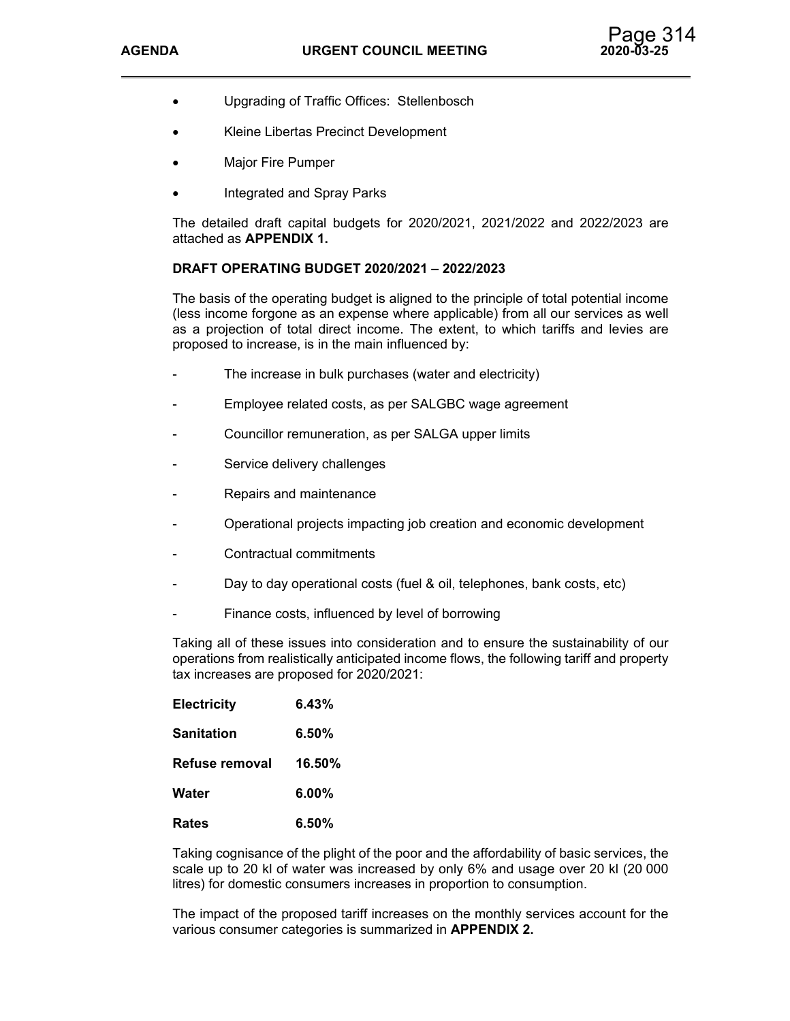- Upgrading of Traffic Offices: Stellenbosch
- Kleine Libertas Precinct Development
- Major Fire Pumper
- Integrated and Spray Parks

The detailed draft capital budgets for 2020/2021, 2021/2022 and 2022/2023 are attached as **APPENDIX 1.** 

### **DRAFT OPERATING BUDGET 2020/2021 – 2022/2023**

The basis of the operating budget is aligned to the principle of total potential income (less income forgone as an expense where applicable) from all our services as well as a projection of total direct income. The extent, to which tariffs and levies are proposed to increase, is in the main influenced by:

- The increase in bulk purchases (water and electricity)
- Employee related costs, as per SALGBC wage agreement
- Councillor remuneration, as per SALGA upper limits
- Service delivery challenges
- Repairs and maintenance
- Operational projects impacting job creation and economic development
- Contractual commitments
- Day to day operational costs (fuel & oil, telephones, bank costs, etc)
- Finance costs, influenced by level of borrowing

Taking all of these issues into consideration and to ensure the sustainability of our operations from realistically anticipated income flows, the following tariff and property tax increases are proposed for 2020/2021:

| <b>Electricity</b> | 6.43%    |
|--------------------|----------|
| Sanitation         | $6.50\%$ |
| Refuse removal     | 16.50%   |
| Water              | $6.00\%$ |
| Rates              | 6.50%    |

Taking cognisance of the plight of the poor and the affordability of basic services, the scale up to 20 kl of water was increased by only 6% and usage over 20 kl (20 000 litres) for domestic consumers increases in proportion to consumption.

The impact of the proposed tariff increases on the monthly services account for the various consumer categories is summarized in **APPENDIX 2.**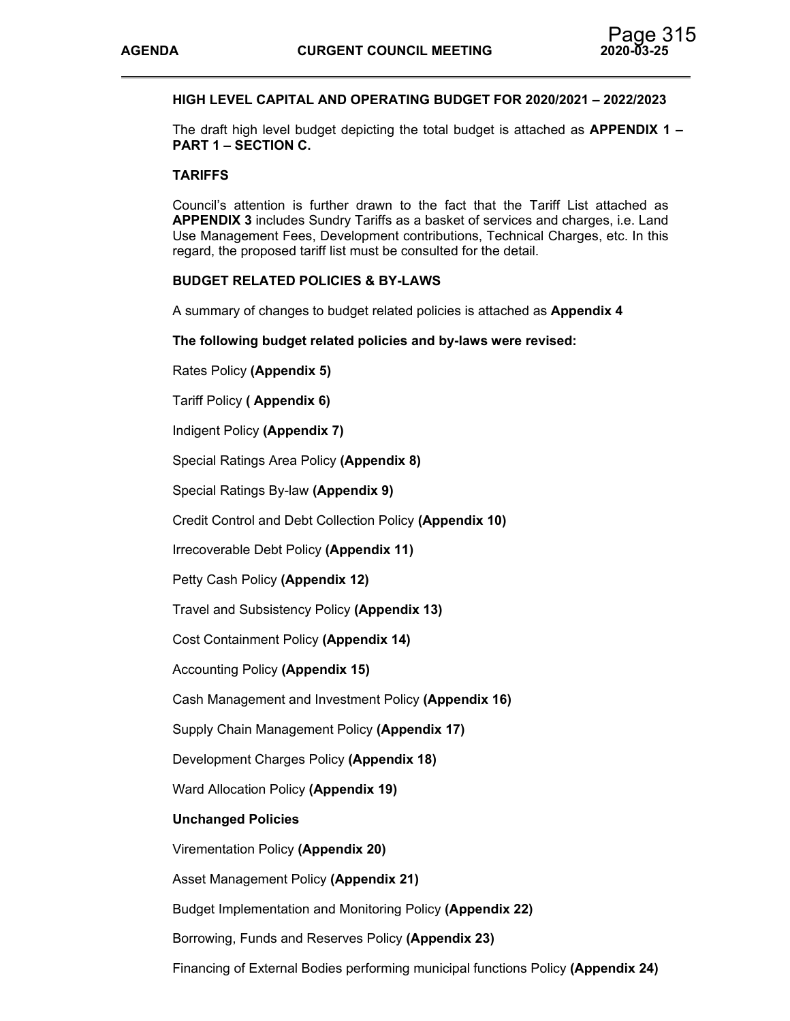

## **HIGH LEVEL CAPITAL AND OPERATING BUDGET FOR 2020/2021 – 2022/2023**

The draft high level budget depicting the total budget is attached as **APPENDIX 1 – PART 1 – SECTION C.** 

### **TARIFFS**

Council's attention is further drawn to the fact that the Tariff List attached as **APPENDIX 3** includes Sundry Tariffs as a basket of services and charges, i.e. Land Use Management Fees, Development contributions, Technical Charges, etc. In this regard, the proposed tariff list must be consulted for the detail.

### **BUDGET RELATED POLICIES & BY-LAWS**

A summary of changes to budget related policies is attached as **Appendix 4**

### **The following budget related policies and by-laws were revised:**

Rates Policy **(Appendix 5)** 

Tariff Policy **( Appendix 6)** 

Indigent Policy **(Appendix 7)** 

Special Ratings Area Policy **(Appendix 8)** 

Special Ratings By-law **(Appendix 9)** 

Credit Control and Debt Collection Policy **(Appendix 10)** 

Irrecoverable Debt Policy **(Appendix 11)** 

Petty Cash Policy **(Appendix 12)** 

Travel and Subsistency Policy **(Appendix 13)** 

Cost Containment Policy **(Appendix 14)** 

Accounting Policy **(Appendix 15)** 

Cash Management and Investment Policy **(Appendix 16)**

Supply Chain Management Policy **(Appendix 17)** 

Development Charges Policy **(Appendix 18)**

Ward Allocation Policy **(Appendix 19)** 

### **Unchanged Policies**

Virementation Policy **(Appendix 20)** 

Asset Management Policy **(Appendix 21)** 

Budget Implementation and Monitoring Policy **(Appendix 22)**

Borrowing, Funds and Reserves Policy **(Appendix 23)**

Financing of External Bodies performing municipal functions Policy **(Appendix 24)**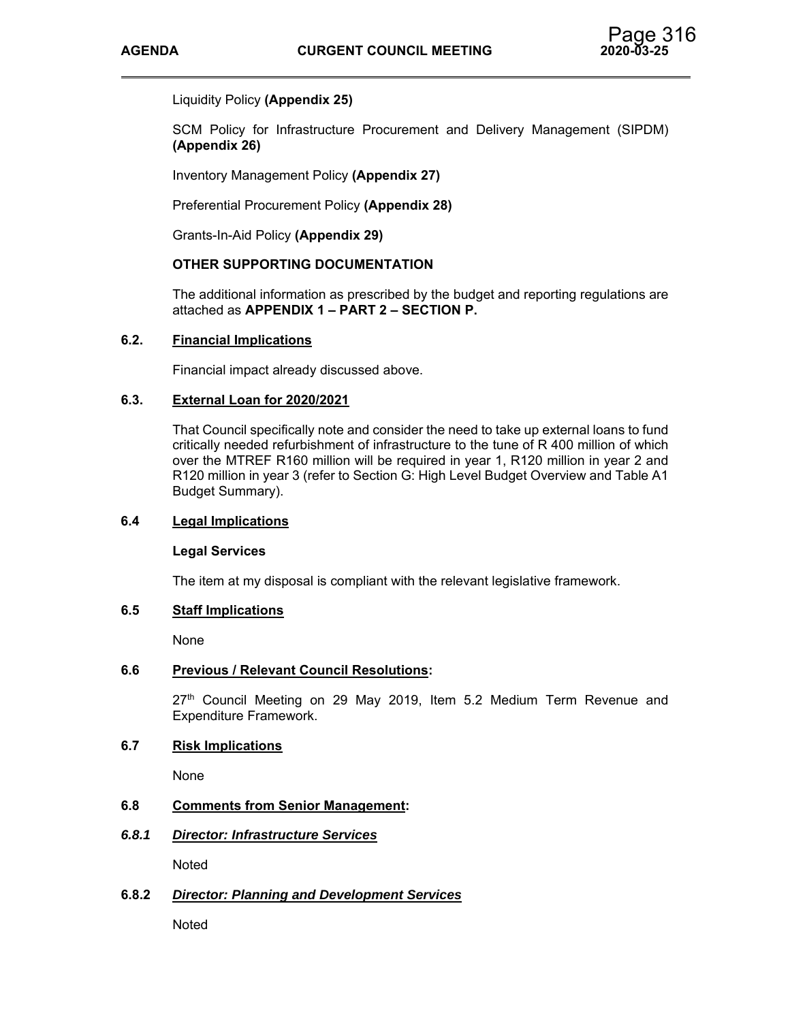## Liquidity Policy **(Appendix 25)**

SCM Policy for Infrastructure Procurement and Delivery Management (SIPDM) **(Appendix 26)**

Inventory Management Policy **(Appendix 27)** 

Preferential Procurement Policy **(Appendix 28)** 

Grants-In-Aid Policy **(Appendix 29)** 

### **OTHER SUPPORTING DOCUMENTATION**

The additional information as prescribed by the budget and reporting regulations are attached as **APPENDIX 1 – PART 2 – SECTION P.**

### **6.2. Financial Implications**

Financial impact already discussed above.

### **6.3. External Loan for 2020/2021**

That Council specifically note and consider the need to take up external loans to fund critically needed refurbishment of infrastructure to the tune of R 400 million of which over the MTREF R160 million will be required in year 1, R120 million in year 2 and R120 million in year 3 (refer to Section G: High Level Budget Overview and Table A1 Budget Summary).

### **6.4 Legal Implications**

### **Legal Services**

The item at my disposal is compliant with the relevant legislative framework.

## **6.5 Staff Implications**

None

### **6.6 Previous / Relevant Council Resolutions:**

 $27<sup>th</sup>$  Council Meeting on 29 May 2019, Item 5.2 Medium Term Revenue and Expenditure Framework.

## **6.7 Risk Implications**

None

## **6.8 Comments from Senior Management:**

### *6.8.1 Director: Infrastructure Services*

Noted

### **6.8.2** *Director: Planning and Development Services*

Noted